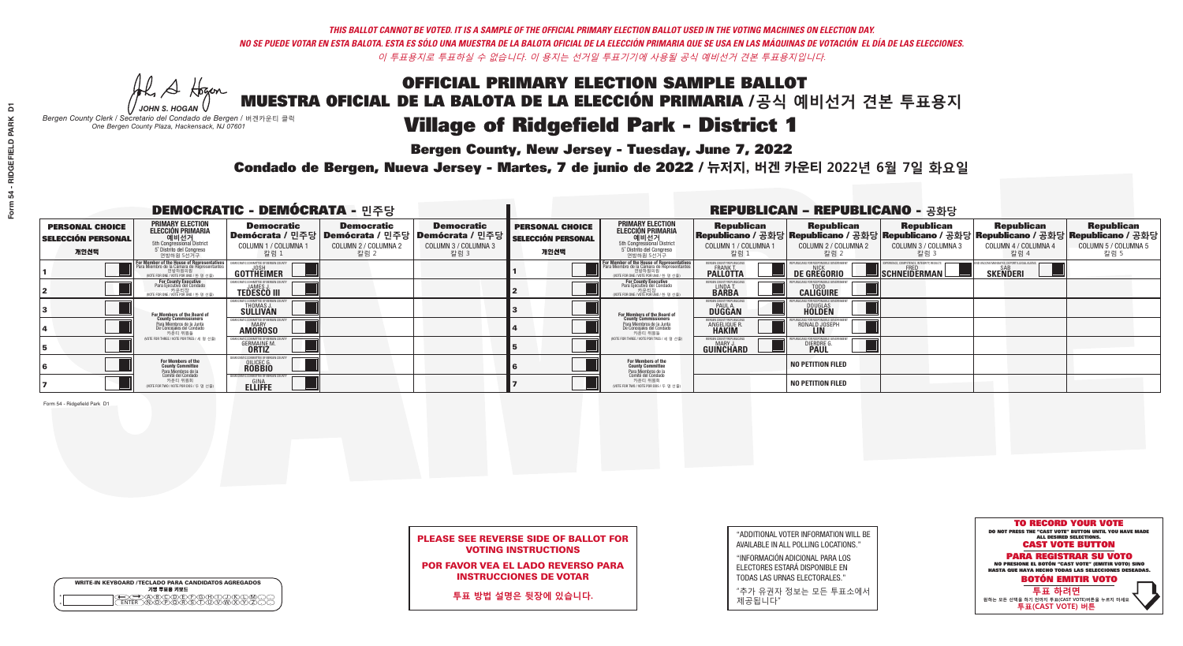**Bergen County, New Jersey - Tuesday, June 7, 2022** 

Al Stogan *JOHN S. HOGAN*

|              | <b>WRITE-IN KEYBOARD /TECLADO PARA CANDIDATOS AGREGADOS</b><br>기명 투표용 키보드 |  |
|--------------|---------------------------------------------------------------------------|--|
| ٥<br>$\circ$ | $\sqrt{D}\sqrt{C}$                                                        |  |

*Bergen County Clerk / Secretario del Condado de Bergen /* 버겐카운티 클럭 *One Bergen County Plaza, Hackensack, NJ 07601*

Condado de Bergen, Nueva Jersey - Martes, 7 de junio de 2022 / 뉴저지, 버겐 카운티 2022년 6월 7일 화요일 *One Bergen County Plaza, Hackensack, NJ 07601*



PLEASE SEE REVERSE SIDE OF BALLOT FOR VOTING INSTRUCTIONS

POR FAVOR VEA EL LADO REVERSO PARA INSTRUCCIONES DE VOTAR

**투표 방법 설명은 뒷장에 있습니다.**

| "ADDITIONAL VOTER INFORMATION WILL BE |
|---------------------------------------|
| AVAILABLE IN ALL POLLING LOCATIONS."  |
|                                       |

"INFORMACIÓN ADICIONAL PARA LOS ELECTORES ESTARÁ DISPONIBLE EN TODAS LAS URNAS ELECTORALES."

"추가 유권자 정보는 모든 투표소에서 제공됩니다"

|                                                             |                                                                                                                                        | <b>DEMOCRATIC - DEMÓCRATA - 민주당</b>                                |                                                   |                                                                                                                   |                                                             |                                                                                                                                                  |                                                             | <b>REPUBLICAN - REPUBLICANO - 공화당</b>                                                                                                          |                                                           |                                                               |                                                   |
|-------------------------------------------------------------|----------------------------------------------------------------------------------------------------------------------------------------|--------------------------------------------------------------------|---------------------------------------------------|-------------------------------------------------------------------------------------------------------------------|-------------------------------------------------------------|--------------------------------------------------------------------------------------------------------------------------------------------------|-------------------------------------------------------------|------------------------------------------------------------------------------------------------------------------------------------------------|-----------------------------------------------------------|---------------------------------------------------------------|---------------------------------------------------|
| <b>PERSONAL CHOICE</b><br><b>SELECCIÓN PERSONAL</b><br>개인선택 | <b>PRIMARY ELECTION</b><br>ELECCIÓN PRIMARIA<br>예비선거<br><sub>5th Congressional</sub> District<br>5° Distrito del Congreso<br>연방하원 5선거구 | <b>Democratic</b><br>COLUMN 1 / COLUMNA<br>칼럼 1                    | <b>Democratic</b><br>COLUMN 2 / COLUMNA 2<br>칼럼 2 | <b>Democratic</b><br>  Demócrata / 민주당   Demócrata / 민주당   Demócrata / 민주당<br><b>COLUMN 3 / COLUMNA 3</b><br>칼럼 3 | <b>PERSONAL CHOICE</b><br><b>SELECCIÓN PERSONAL</b><br>개인선택 | <b>PRIMARY ELECTION</b><br>ELECCIÓN PRIMARIA<br>예비선거<br><sub>5</sub> District<br>5 Distrite del Congreso<br>연방하원 5선거구                            | <b>Republican</b><br>COLUMN 1 / COLUMNA 1<br>"칼럼 1          | <b>Republican</b><br>Republicano / 공화당 Republicano / 공화당 Republicano / 공화당 Republicano / 공화당 Republicano / 공화당<br>COLUMN 2 / COLUMNA 2<br>칼럼 2 | <b>Republican</b><br>COLUMN 3 / COLUMNA 3<br>칼럼 3         | <b>Republican</b><br>COLUMN 4 / COLUMNA 4<br>칼럼 4             | <b>Republican</b><br>COLUMN 5 / COLUMNA 5<br>칼럼 5 |
|                                                             | For Member of the House of Representatives<br>Para Miembro de la Cámara de Representantes                                              | DEMOCRATIC COMMITTEE OF BERGEN COUN<br>GOTTHEIMER                  |                                                   |                                                                                                                   |                                                             | F <mark>or Member of the House of Representatives</mark><br>Para Miembro de la Cámara de Representantes<br>WOTE FOR ONE / VOTE POR UNO / 한 명 선출) | BERGEN COUNTY REPUBLICANS<br><b>FRANK T</b><br>PALLOTTA     | <b>NICK DE GREGORIO</b>                                                                                                                        | XPERIENCE, COMPETENCE, INTEGRITY, RESULTS<br>SCHNEIDERMAN | ND VACCINE MANDATES, DEPORT ILLEGAL ALIENS<br><b>SKENDERI</b> |                                                   |
|                                                             | For County Executive<br>Para Ejecutivo del Condado<br>VOTE FOR ONE / VOTE POR UNO / 한 명 선출)                                            | JAMES J<br><b>TEDESCO III</b>                                      |                                                   |                                                                                                                   |                                                             | For County Executive<br>Para Ejecutivo del Condado<br>. 카운티장<br>(VOTE FOR ONE / VOTE POR UNO / 한 명 선출)                                           | BERGEN COUNTY REPUBLICAN<br>LINDA T.                        | <b>CALIGUIRE</b>                                                                                                                               |                                                           |                                                               |                                                   |
|                                                             | For Members of the Board of<br>County Commissioners                                                                                    | THOMAS J.                                                          |                                                   |                                                                                                                   |                                                             | <b>For Members of the Board of County Commissioners</b>                                                                                          | BERGEN COUNTY REPUBLICAN<br><b>PAUL A.</b><br><b>DUGGAN</b> | <b>DOUGLAS</b><br><b>HOLDEN</b>                                                                                                                |                                                           |                                                               |                                                   |
|                                                             | Para Miembros de la Junta<br>De Concejales del Condado<br>카우티 위원들                                                                      | CRATIC COMMITTEE OF BERGEN COUN<br><b>AMOROSO</b>                  |                                                   |                                                                                                                   |                                                             | Para Miembros de la Junta<br>De Concejales del Condado<br>카운티 위원들                                                                                | ERGEN COUNTY REPUBLICAN<br><b>ANGELIQUE F</b>               | RONALD JOSEPH                                                                                                                                  |                                                           |                                                               |                                                   |
|                                                             | (VOTE FOR THREE / VOTE POR TRES / 세 명 선출)                                                                                              | <b>GERMAINE M.</b><br><b>ORTIZ</b>                                 |                                                   |                                                                                                                   |                                                             | (VOTE FOR THREE / VOTE POR TRES / 세 명 선출)                                                                                                        | ERGEN COUNTY REPUBLICAN<br>MARY J<br><b>GUINCHARD</b>       | <b>DIERDRE G<br/>PAUL</b>                                                                                                                      |                                                           |                                                               |                                                   |
|                                                             | For Members of the<br>County Committee<br>Para Miembros de la                                                                          | MOCRATIC COMMITTEE OF BERGEN<br><b>OILICEC G.</b><br><b>ROBBIO</b> |                                                   |                                                                                                                   |                                                             | For Members of the<br>County Committee                                                                                                           |                                                             | <b>NO PETITION FILED</b>                                                                                                                       |                                                           |                                                               |                                                   |
|                                                             | Comité del Condado<br>카운티 위원회<br>(VOTE FOR TWO / VOTE POR DOS / 두 명 선출)                                                                | DEMOCRATIC COMMITTEE OF BERGEN COUNT<br><b>ELLIFFE</b>             |                                                   |                                                                                                                   |                                                             | Para Miembros de la<br>Comité del Condado<br>카운티 위원회<br>(VOTE FOR TWO / VOTE POR DOS / 두 명 선출)                                                   |                                                             | <b>NO PETITION FILED</b>                                                                                                                       |                                                           |                                                               |                                                   |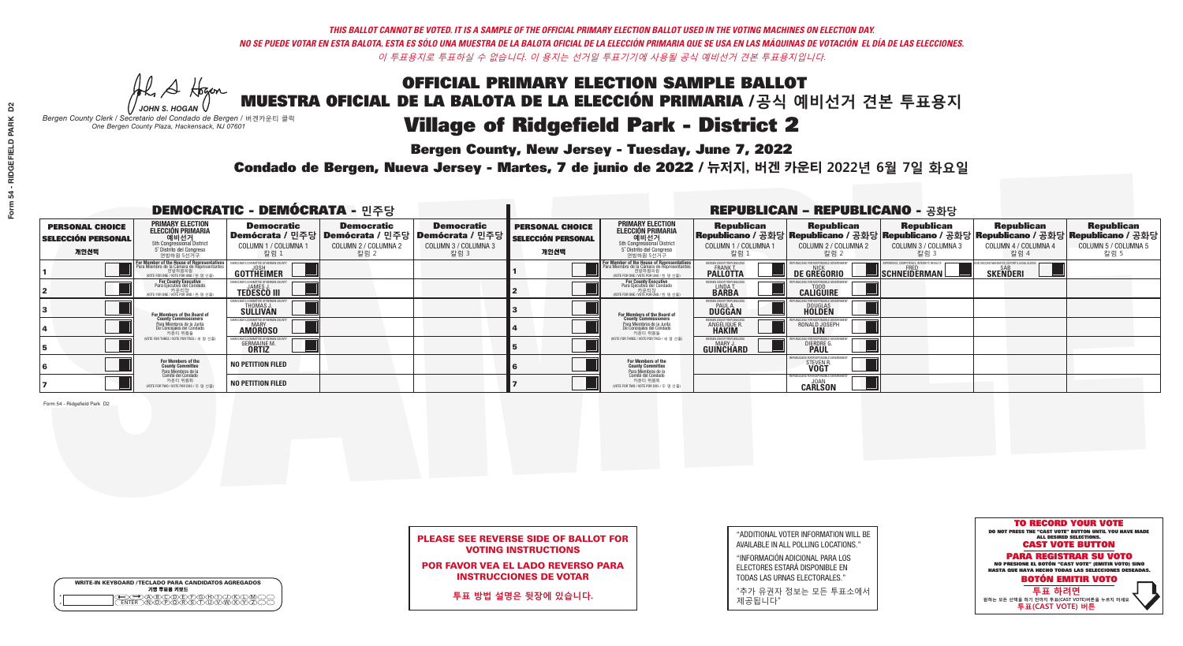**Bergen County, New Jersey - Tuesday, June 7, 2022** 

A Hogan *JOHN S. HOGAN*

|              | <b>WRITE-IN KEYBOARD /TECLADO PARA CANDIDATOS AGREGADOS</b><br>기명 투표용 키보드 |
|--------------|---------------------------------------------------------------------------|
| ٥<br>$\circ$ | )BODEDOBDI<br>)OPOBSTUMM                                                  |

*Bergen County Clerk / Secretario del Condado de Bergen /* 버겐카운티 클럭 *One Bergen County Plaza, Hackensack, NJ 07601*

Condado de Bergen, Nueva Jersey - Martes, 7 de junio de 2022 / 뉴저지, 버겐 카운티 2022년 6월 7일 화요일 *One Bergen County Plaza, Hackensack, NJ 07601*



### PLEASE SEE REVERSE SIDE OF BALLOT FOR VOTING INSTRUCTIONS

POR FAVOR VEA EL LADO REVERSO PARA INSTRUCCIONES DE VOTAR

**투표 방법 설명은 뒷장에 있습니다.**

"ADDITIONAL VOTER INFORMATION WILL BE AVAILABLE IN ALL POLLING LOCATIONS."

"INFORMACIÓN ADICIONAL PARA LOS ELECTORES ESTARÁ DISPONIBLE EN TODAS LAS URNAS ELECTORALES."

"추가 유권자 정보는 모든 투표소에서 제공됩니다"

|                                                             | <b>REPUBLICAN - REPUBLICANO - 공화당</b>                                                                                                         |                                                      |                                                                                                              |                                                   |                                                             |                                                                                                                                   |                                                                      |                                                    |                                                                                                                                                 |                                                   |                                                   |
|-------------------------------------------------------------|-----------------------------------------------------------------------------------------------------------------------------------------------|------------------------------------------------------|--------------------------------------------------------------------------------------------------------------|---------------------------------------------------|-------------------------------------------------------------|-----------------------------------------------------------------------------------------------------------------------------------|----------------------------------------------------------------------|----------------------------------------------------|-------------------------------------------------------------------------------------------------------------------------------------------------|---------------------------------------------------|---------------------------------------------------|
| <b>PERSONAL CHOICE</b><br><b>SELECCIÓN PERSONAL</b><br>개인선택 | <b>PRIMARY ELECTION</b><br><b>ELECCIÓN PRIMARIA</b><br>예비선거<br><sup>5th</sup> Congressional District<br>5° Distrito del Congreso<br>연방하원 5선거구 | <b>Democratic</b><br>COLUMN 1 / COLUMNA<br>칼럼 1      | <b>Democratic</b><br>  Demócrata / 민주당   Demócrata / 민주당   Demócrata / 민주당  <br>COLUMN 2 / COLUMNA 2<br>칼럼 2 | <b>Democratic</b><br>COLUMN 3 / COLUMNA 3<br>칼럼 3 | <b>PERSONAL CHOICE</b><br><b>SELECCIÓN PERSONAL</b><br>개인선택 | <b>PRIMARY ELECTION</b><br>ELECCIÓN PRIMARIA<br>예비선거<br>5th Congressional District<br>5 Distrito del Congreso<br>연방하원 5선거구        | <b>Republican</b><br>COLUMN 1 / COLUMNA 1<br><u>칼럼 1</u>             | <b>Republican</b><br>COLUMN 2 / COLUMNA 2<br>-칼럼 2 | <b>Republican</b><br> Republicano / 공화당 Republicano / 공화당 Republicano / 공화당 Republicano / 공화당 Republicano / 공화당<br>COLUMN 3 / COLUMNA 3<br>칼럼 3 | <b>Republican</b><br>COLUMN 4 / COLUMNA 4<br>칼럼 4 | <b>Republican</b><br>COLUMN 5 / COLUMNA 5<br>칼럼 5 |
|                                                             | F <b>or Member of the House of Representatives</b><br>Para Miembro de la Cámara de Representantes                                             | COMMITTEE OF BERGEN COUNT<br><b>GOTTHEIMER</b>       |                                                                                                              |                                                   |                                                             | For Member of the House of Representatives<br>Para Miembro de la Cámara de Representantes<br>WOTE FOR ONE / VOTE POR UNO / 한 명 선출 | <b>BERGEN COUNTY REPUBLICANS</b><br><b>PALLOTTA</b>                  | <b>DE GREGORIO</b>                                 | PERIENCE, COMPETENCE, INTEGRITY, RESULTS<br>SCHNEIDERMAN                                                                                        | <b>SKENDERI</b>                                   |                                                   |
|                                                             | For County Executive<br>Para Ejecutivo del Condado<br>'OTE FOR ONE / VOTE POR UNO / 한 명 선출)                                                   | <b>TEDESCO III</b>                                   |                                                                                                              |                                                   |                                                             | For County Executive<br>Para Ejecutivo del Condado<br>가운티장<br>(VOTE FOR ONE / VOTE POR UNO / 한 명 선출                               | BERGEN COUNTY REPUBLICAN<br>LINDA T.                                 | <b>CALIGUIRE</b>                                   |                                                                                                                                                 |                                                   |                                                   |
|                                                             | <b>For Members of the Board of<br/>County Commissioners</b>                                                                                   | THOMAS J.                                            |                                                                                                              |                                                   |                                                             | For Members of the Board of<br>County Commissioners                                                                               | BERGEN COUNTY REPUBLICAN<br><b>DUGGAN</b>                            | <b>DOUGLAS</b><br><b>HOLDEN</b>                    |                                                                                                                                                 |                                                   |                                                   |
|                                                             | Para Miembros de la Junta<br>De Concejales del Condado<br>카운티 위원들                                                                             | IOCRATIC COMMITTEE OF BERGEN COUNT<br><b>AMOROSO</b> |                                                                                                              |                                                   |                                                             | Para Miembros de la Junta<br>De Concejales del Condado<br>카운티 위원들                                                                 | <b>FRGEN COUNTY REPUBLICAN</b><br><b>ANGELIQUE R</b><br><b>HAKIM</b> | RONALD JOSEPH                                      |                                                                                                                                                 |                                                   |                                                   |
|                                                             | NOTE FOR THREE / VOTE POR TRES / 세 명 선출)                                                                                                      | <b>GERMAINE M.</b><br><b>ORTIZ</b>                   |                                                                                                              |                                                   |                                                             | (VOTE FOR THREE / VOTE POR TRES / 세 명 선출)                                                                                         | BERGEN COUNTY REPUBLICAN<br>MARY J<br>GUINCHARD                      | <b>DIERDRE</b>                                     |                                                                                                                                                 |                                                   |                                                   |
|                                                             | For Members of the<br>County Committee<br>Para Miembros de la<br>Comité del Condado                                                           | <b>NO PETITION FILED</b>                             |                                                                                                              |                                                   |                                                             | For Members of the<br>County Committee                                                                                            |                                                                      | <b>STEVEN F</b>                                    |                                                                                                                                                 |                                                   |                                                   |
|                                                             | 카운티 위원회<br>NOTE FOR TWO / VOTE POR DOS / 두 명 선출)                                                                                              | <b>NO PETITION FILED</b>                             |                                                                                                              |                                                   |                                                             | Para Miembros de la<br>Comité del Condado<br>카운티 위원회<br>NOTE FOR TWO / VOTE POR DOS / 두 명 선출)                                     |                                                                      | REPUBLICANS FOR RESPONSIBLE GOV<br><b>CARLSON</b>  |                                                                                                                                                 |                                                   |                                                   |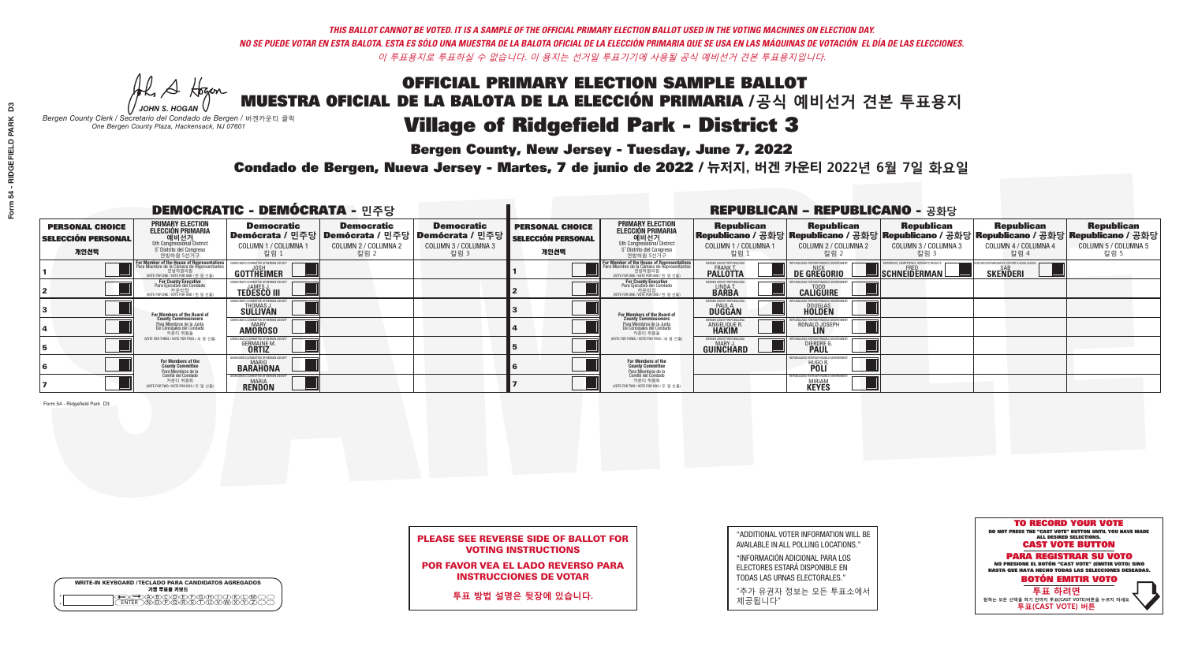**Bergen County, New Jersey - Tuesday, June 7, 2022** 

A Hogan *JOHN S. HOGAN*

|         | <b>WRITE-IN KEYBOARD /TECLADO PARA CANDIDATOS AGREGADOS</b><br>기명 투표용 키보드 |
|---------|---------------------------------------------------------------------------|
| $\circ$ | )(B)C)(D)(E)(F)(G)(H)(T)                                                  |
| $\circ$ | <u>\በሽጠል የአ</u>                                                           |

*Bergen County Clerk / Secretario del Condado de Bergen /* 버겐카운티 클럭 *One Bergen County Plaza, Hackensack, NJ 07601*



PLEASE SEE REVERSE SIDE OF BALLOT FOR VOTING INSTRUCTIONS

POR FAVOR VEA EL LADO REVERSO PARA INSTRUCCIONES DE VOTAR

**투표 방법 설명은 뒷장에 있습니다.**

"ADDITIONAL VOTER INFORMATION WILL BE AVAILABLE IN ALL POLLING LOCATIONS."

"INFORMACIÓN ADICIONAL PARA LOS ELECTORES ESTARÁ DISPONIBLE EN TODAS LAS URNAS ELECTORALES."

"추가 유권자 정보는 모든 투표소에서 제공됩니다"

Condado de Bergen, Nueva Jersey - Martes, 7 de junio de 2022 / 뉴저지, 버겐 카운티 2022년 6월 7일 화요일 *One Bergen County Plaza, Hackensack, NJ 07601*

|                                                             |                                                                                                                                                  | <b>DEMOCRATIC - DEMÓCRATA - 민주당</b>                           |                                                   |                                                                                                            |                                                             |                                                                                                                                                  |                                                                      | <b>REPUBLICAN - REPUBLICANO - 공화당</b>                                                                                                           |                                                                  |                                                               |                                                   |
|-------------------------------------------------------------|--------------------------------------------------------------------------------------------------------------------------------------------------|---------------------------------------------------------------|---------------------------------------------------|------------------------------------------------------------------------------------------------------------|-------------------------------------------------------------|--------------------------------------------------------------------------------------------------------------------------------------------------|----------------------------------------------------------------------|-------------------------------------------------------------------------------------------------------------------------------------------------|------------------------------------------------------------------|---------------------------------------------------------------|---------------------------------------------------|
| <b>PERSONAL CHOICE</b><br><b>SELECCIÓN PERSONAL</b><br>개인선택 | <b>PRIMARY ELECTION</b><br><b>ELECCIÓN PRIMARIA</b><br>예비선거<br>5th Congressional District<br>5° Distrito del Congreso<br>연방하원 5선거구               | <b>Democratic</b><br>COLUMN 1 / COLUMNA<br>칼럼 1               | <b>Democratic</b><br>COLUMN 2 / COLUMNA 2<br>칼럼 2 | <b>Democratic</b><br>Demócrata / 민주당   Demócrata / 민주당   Demócrata / 민주당  <br>COLUMN 3 / COLUMNA 3<br>칼럼 3 | <b>PERSONAL CHOICE</b><br><b>SELECCIÓN PERSONAL</b><br>개인선택 | <b>PRIMARY ELECTION</b><br>ELECCIÓN PRIMARIA<br>5th Congressional District<br>5° Distrito del Congreso<br>연방하원 5선거구                              | <b>Republican</b><br>COLUMN 1 / COLUMNA 1<br>"칼럼 1                   | <b>Republican</b><br>Republicano / 공화당 Republicano / 공화당 Republicano / 공화당 Republicano / 공화당 Republicano / 공화당<br>COLUMN 2 / COLUMNA 2<br>·칼럼 2 | <b>Republican</b><br>COLUMN 3 / COLUMNA 3<br>칼럼 3                | <b>Republican</b><br>COLUMN 4 / COLUMNA 4<br>칼럼 4             | <b>Republican</b><br>COLUMN 5 / COLUMNA 5<br>칼럼 5 |
|                                                             | F <mark>or Member of the House of Representatives</mark><br>Para Miembro de la Cámara de Representantes<br>NOTE FOR ONE 7 VOTE POR UNO / 한 명 선출) | DEMOCRATIC COMMITTEE OF BERGEN COUN'<br>GOTTHËIMER            |                                                   |                                                                                                            |                                                             | F <mark>or Member of the House of Representatives</mark><br>Para Miembro de la Cámara de Representantes<br>NOTE FOR ONE / VOTE POR UNO / 한 명 선출) | BERGEN COUNTY REPUBLICANS<br><b>FRANK T.</b><br><b>PALLOTTA</b>      | <b>DE GREGORIO</b>                                                                                                                              | <b>KPERIENCE, COMPETENCE, INTEGRITY, RESULTS</b><br>SCHNEIDERMAN | ND VACCINE MANDATES, DEPORT ILLEGAL ALIENS<br><b>SKENDERI</b> |                                                   |
|                                                             | For County Executive<br>Para Ejecutivo del Condado<br>가운티장<br>VOTE FOR ONE / VOTE POR UNO / 한 명 선출)                                              | JAMES,<br><b>TEDESCO III</b>                                  |                                                   |                                                                                                            |                                                             | For County Executive<br>Para Ejecutivo del Condado<br>7 카운티장<br>(VOTE FOR ONE / VOTE POR UNO / 한 명 선출)                                           | BERGEN COUNTY REPUBLICAN<br>LINDA T.<br><b>BARBA</b>                 | <b>CALIGUIRE</b>                                                                                                                                |                                                                  |                                                               |                                                   |
|                                                             | For Members of the Board of<br>County Commissioners                                                                                              | <b>THOMAS J.</b><br><b>SULLIVAN</b>                           |                                                   |                                                                                                            |                                                             | <b>For Members of the Board of County Commissioners</b>                                                                                          | ERGEN COUNTY REPUBLICAN<br><b>PAUL A.</b><br><b>DUGGAN</b>           | <b>DOUGLAS</b>                                                                                                                                  |                                                                  |                                                               |                                                   |
|                                                             | Para Miembros de la Junta<br>De Concejales del Condado<br>카운티 위원들                                                                                | TIC COMMITTEE OF RERGEN COUN<br><b>MARY</b><br><b>AMOROSO</b> |                                                   |                                                                                                            |                                                             | Para Miembros de la Junta<br>De Concejales del Condado<br>카운티 위원들                                                                                | <b>FRGEN COUNTY REPUBLICAN</b><br><b>ANGELIQUE R</b><br><b>HAKIM</b> | RONALD JOSEPH<br><b>LIN</b>                                                                                                                     |                                                                  |                                                               |                                                   |
|                                                             | NOTE FOR THREE / VOTE POR TRES / 세 명 선출)                                                                                                         | <b>GERMAINE M</b><br><b>ORTIZ</b>                             |                                                   |                                                                                                            |                                                             | (VOTE FOR THREE / VOTE POR TRES / 세 명 선출)                                                                                                        | ERGEN COUNTY REPUBLICAN<br>MARY J<br><b>GUINCHARD</b>                | <b>DIERDRE</b>                                                                                                                                  |                                                                  |                                                               |                                                   |
|                                                             | For Members of the<br>County Committee<br>Para Miembros de la<br>Comité del Condado                                                              | <b>BARAHONA</b>                                               |                                                   |                                                                                                            |                                                             | For Members of the<br>County Committee<br>Para Miembros de la<br>Comité del Condado                                                              |                                                                      | <b>HUGO R.</b>                                                                                                                                  |                                                                  |                                                               |                                                   |
|                                                             | 카운티 위원회<br>(VOTE FOR TWO / VOTE POR DOS / 두 명 선출)                                                                                                | RATIC COMMITTEE OF BERGEN C<br>MARIA<br><b>RENDON</b>         |                                                   |                                                                                                            |                                                             | 카운티 위원회<br>(VOTE FOR TWO / VOTE POR DOS / 두 명 선출)                                                                                                |                                                                      | EPUBLICANS FOR RESPONSIBLE GO'<br><b>MIRIAM</b><br><b>KEYES</b>                                                                                 |                                                                  |                                                               |                                                   |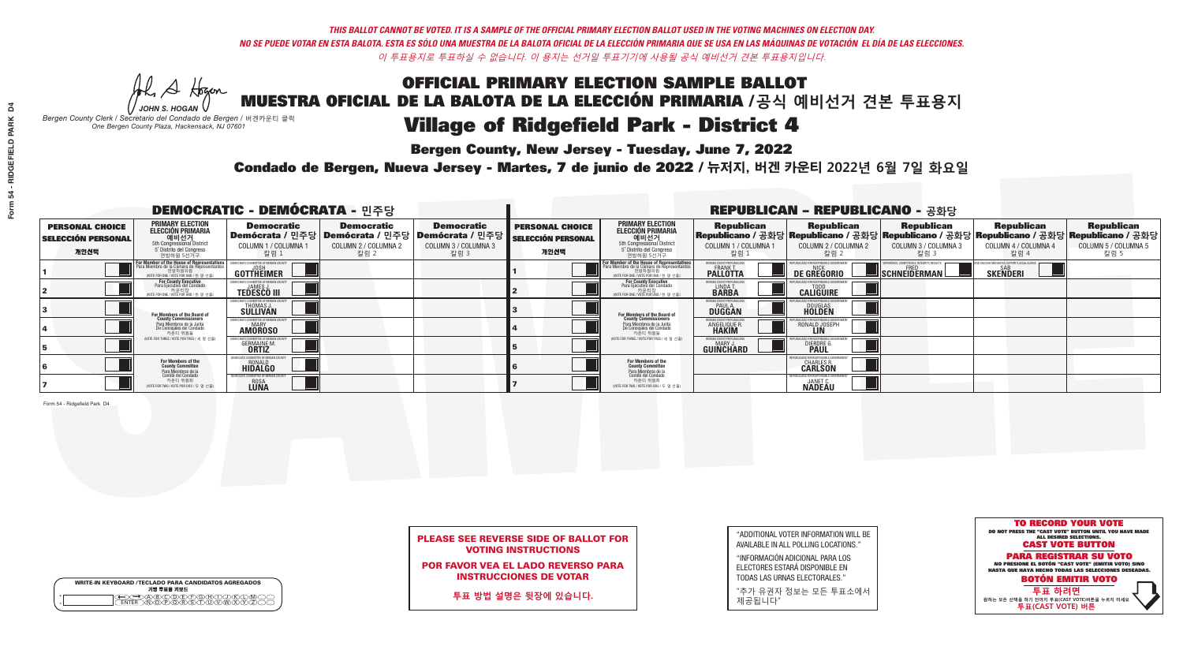**Bergen County, New Jersey - Tuesday, June 7, 2022** 

Al Stogan *JOHN S. HOGAN*

|         | <b>WRITE-IN KEYBOARD /TECLADO PARA CANDIDATOS AGREGADOS</b><br>기명 투표용 키보드 |
|---------|---------------------------------------------------------------------------|
| ٥       | <b>IFIELBICHI</b>                                                         |
| $\circ$ | $\sqrt{2} \sqrt{2} \sqrt{2}$                                              |

*Bergen County Clerk / Secretario del Condado de Bergen /* 버겐카운티 클럭 *One Bergen County Plaza, Hackensack, NJ 07601*



POR FAVOR VEA EL LADO REVERSO PARA INSTRUCCIONES DE VOTAR

**투표 방법 설명은 뒷장에 있습니다.**

"ADDITIONAL VOTER INFORMATION WILL BE AVAILABLE IN ALL POLLING LOCATIONS."

"INFORMACIÓN ADICIONAL PARA LOS ELECTORES ESTARÁ DISPONIBLE EN TODAS LAS URNAS ELECTORALES."

"추가 유권자 정보는 모든 투표소에서 제공됩니다"

Condado de Bergen, Nueva Jersey - Martes, 7 de junio de 2022 / 뉴저지, 버겐 카운티 2022년 6월 7일 화요일 *One Bergen County Plaza, Hackensack, NJ 07601*

|                                                             |                                                                                                                                        | <b>DEMOCRATIC - DEMÓCRATA - 민주당</b>                |                                                   |                                                                                                                   |                                                             |                                                                                                                                                  |                                                             | <b>REPUBLICAN - REPUBLICANO - 공화당</b>                                                                                                          |                                                           |                                                               |                                                   |
|-------------------------------------------------------------|----------------------------------------------------------------------------------------------------------------------------------------|----------------------------------------------------|---------------------------------------------------|-------------------------------------------------------------------------------------------------------------------|-------------------------------------------------------------|--------------------------------------------------------------------------------------------------------------------------------------------------|-------------------------------------------------------------|------------------------------------------------------------------------------------------------------------------------------------------------|-----------------------------------------------------------|---------------------------------------------------------------|---------------------------------------------------|
| <b>PERSONAL CHOICE</b><br><b>SELECCIÓN PERSONAL</b><br>개인선택 | <b>PRIMARY ELECTION</b><br>ELECCIÓN PRIMARIA<br>예비선거<br><sub>5th Congressional</sub> District<br>5° Distrito del Congreso<br>연방하원 5선거구 | <b>Democratic</b><br>COLUMN 1 / COLUMNA<br>칼럼 1    | <b>Democratic</b><br>COLUMN 2 / COLUMNA 2<br>칼럼 2 | <b>Democratic</b><br>  Demócrata / 민주당   Demócrata / 민주당   Demócrata / 민주당<br><b>COLUMN 3 / COLUMNA 3</b><br>칼럼 3 | <b>PERSONAL CHOICE</b><br><b>SELECCIÓN PERSONAL</b><br>개인선택 | <b>PRIMARY ELECTION</b><br>ELECCIÓN PRIMARIA<br>예비선거<br><sub>5</sub> District<br>5 Distrite del Congreso<br>연방하원 5선거구                            | <b>Republican</b><br>COLUMN 1 / COLUMNA 1<br>"칼럼 1          | <b>Republican</b><br>Republicano / 공화당 Republicano / 공화당 Republicano / 공화당 Republicano / 공화당 Republicano / 공화당<br>COLUMN 2 / COLUMNA 2<br>칼럼 2 | <b>Republican</b><br>COLUMN 3 / COLUMNA 3<br>칼럼 3         | <b>Republican</b><br>COLUMN 4 / COLUMNA 4<br>칼럼 4             | <b>Republican</b><br>COLUMN 5 / COLUMNA 5<br>칼럼 5 |
|                                                             | For Member of the House of Representatives<br>Para Miembro de la Cámara de Representantes                                              | DEMOCRATIC COMMITTEE OF BERGEN COUN<br>GOTTHEIMER  |                                                   |                                                                                                                   |                                                             | F <mark>or Member of the House of Representatives</mark><br>Para Miembro de la Cámara de Representantes<br>WOTE FOR ONE / VOTE POR UNO / 한 명 선출) | BERGEN COUNTY REPUBLICANS<br><b>FRANK T</b><br>PALLOTTA     | <b>DE GREGORIO</b>                                                                                                                             | XPERIENCE, COMPETENCE, INTEGRITY, RESULTS<br>SCHNEIDERMAN | ND VACCINE MANDATES, DEPORT ILLEGAL ALIENS<br><b>SKENDERI</b> |                                                   |
|                                                             | For County Executive<br>Para Ejecutivo del Condado<br>VOTE FOR ONE / VOTE POR UNO / 한 명 선출)                                            | JAMES J<br><b>TEDESCO III</b>                      |                                                   |                                                                                                                   |                                                             | For County Executive<br>Para Ejecutivo del Condado<br>. 카운티장<br>(VOTE FOR ONE / VOTE POR UNO / 한 명 선출)                                           | BERGEN COUNTY REPUBLICAN<br>LINDA T.                        | <b>CALIGUIRE</b>                                                                                                                               |                                                           |                                                               |                                                   |
|                                                             | For Members of the Board of<br>County Commissioners                                                                                    | OCRATIC COMMITTEE OF BERGEN CO<br>THOMAS J.        |                                                   |                                                                                                                   |                                                             | <b>For Members of the Board of County Commissioners</b>                                                                                          | BERGEN COUNTY REPUBLICAN<br><b>PAUL A.</b><br><b>DUGGAN</b> | <b>DOUGLAS</b><br><b>HOLDEN</b>                                                                                                                |                                                           |                                                               |                                                   |
|                                                             | Para Miembros de la Junta<br>De Concejales del Condado<br>카우티 위원들                                                                      | ICRATIC COMMITTEE OF BERGEN COUN<br><b>AMOROSO</b> |                                                   |                                                                                                                   |                                                             | Para Miembros de la Junta<br>De Concejales del Condado<br>카운티 위원들                                                                                | ERGEN COUNTY REPUBLICAN<br><b>ANGELIQUE F</b>               | RONALD JOSEPH                                                                                                                                  |                                                           |                                                               |                                                   |
|                                                             | (VOTE FOR THREE / VOTE POR TRES / 세 명 선출)                                                                                              | <b>GERMAINE M.</b><br><b>ORTIZ</b>                 |                                                   |                                                                                                                   |                                                             | (VOTE FOR THREE / VOTE POR TRES / 세 명 선출)                                                                                                        | ERGEN COUNTY REPUBLICAN<br>MARY J<br><b>GUINCHARD</b>       | <b>DIERDRE</b>                                                                                                                                 |                                                           |                                                               |                                                   |
|                                                             | For Members of the<br>County Committee<br>Para Miembros de la                                                                          | MOCATIC COMMITTEE OF BERGEN CO:<br><b>HIDALGO</b>  |                                                   |                                                                                                                   |                                                             | For Members of the<br>County Committee                                                                                                           |                                                             | UBI ICANS FOR RESPONSIBI E G<br><b>CHARLES R.</b><br><b>CARLSON</b>                                                                            |                                                           |                                                               |                                                   |
|                                                             | Comité del Condado<br>카운티 위원회<br>(VOTE FOR TWO / VOTE POR DOS / 두 명 선출)                                                                | EMOCATIC COMMITTEE OF BERGEN COUNT<br>ROSA<br>LUNA |                                                   |                                                                                                                   |                                                             | Para Miembros de la<br>Comité del Condado<br>카운티 위원회<br>(VOTE FOR TWO / VOTE POR DOS / 두 명 선출)                                                   |                                                             | <b>EPUBLICANS FOR RESPONSIBLE ()</b><br><b>JANET C.</b><br><b>NADEAU</b>                                                                       |                                                           |                                                               |                                                   |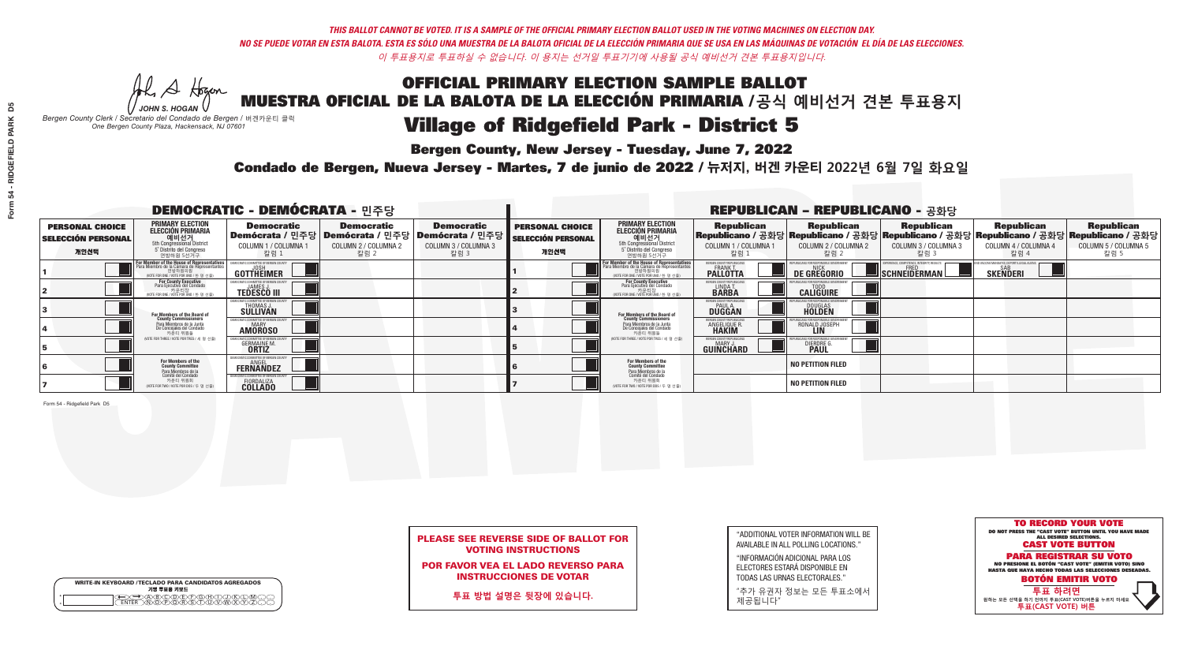**Bergen County, New Jersey - Tuesday, June 7, 2022** 

Al Stogan *JOHN S. HOGAN*

*Bergen County Clerk / Secretario del Condado de Bergen /* 버겐카운티 클럭 *One Bergen County Plaza, Hackensack, NJ 07601*



Condado de Bergen, Nueva Jersey - Martes, 7 de junio de 2022 / 뉴저지, 버겐 카운티 2022년 6월 7일 화요일 *One Bergen County Plaza, Hackensack, NJ 07601*



### PLEASE SEE REVERSE SIDE OF BALLOT FOR VOTING INSTRUCTIONS

POR FAVOR VEA EL LADO REVERSO PARA INSTRUCCIONES DE VOTAR

**투표 방법 설명은 뒷장에 있습니다.**

| "ADDITIONAL VOTER INFORMATION WILL BE |
|---------------------------------------|
| AVAILABLE IN ALL POLLING LOCATIONS."  |
|                                       |

"INFORMACIÓN ADICIONAL PARA LOS ELECTORES ESTARÁ DISPONIBLE EN TODAS LAS URNAS ELECTORALES."

"추가 유권자 정보는 모든 투표소에서 제공됩니다"

| <b>DEMOCRATIC - DEMÓCRATA - 민주당</b>                         |                                                                                                                                               |                                                       |                                                                                                              |                                                   | <b>REPUBLICAN - REPUBLICANO - 공화당</b>                       |                                                                                                                                   |                                                                      |                                                    |                                                         |                                                                                                                                                 |                                                   |  |
|-------------------------------------------------------------|-----------------------------------------------------------------------------------------------------------------------------------------------|-------------------------------------------------------|--------------------------------------------------------------------------------------------------------------|---------------------------------------------------|-------------------------------------------------------------|-----------------------------------------------------------------------------------------------------------------------------------|----------------------------------------------------------------------|----------------------------------------------------|---------------------------------------------------------|-------------------------------------------------------------------------------------------------------------------------------------------------|---------------------------------------------------|--|
| <b>PERSONAL CHOICE</b><br><b>SELECCIÓN PERSONAL</b><br>개인선택 | <b>PRIMARY ELECTION</b><br><b>ELECCIÓN PRIMARIA</b><br>예비선거<br><sup>5th</sup> Congressional District<br>5° Distrito del Congreso<br>연방하원 5선거구 | <b>Democratic</b><br>COLUMN 1 / COLUMNA<br>칼럼 1       | <b>Democratic</b><br>  Demócrata / 민주당   Demócrata / 민주당   Demócrata / 민주당  <br>COLUMN 2 / COLUMNA 2<br>칼럼 2 | <b>Democratic</b><br>COLUMN 3 / COLUMNA 3<br>칼럼 3 | <b>PERSONAL CHOICE</b><br><b>SELECCIÓN PERSONAL</b><br>개인선택 | <b>PRIMARY ELECTION</b><br>ELECCIÓN PRIMARIA<br>예비선거<br>5th Congressional District<br>5 Distrito del Congreso<br>연방하원 5선거구        | <b>Republican</b><br>COLUMN 1 / COLUMNA 1<br><u>칼럼 1</u>             | <b>Republican</b><br>COLUMN 2 / COLUMNA 2<br>·칼럼 2 | <b>Republican</b><br>COLUMN 3 / COLUMNA 3<br>칼럼 3       | <b>Republican</b><br> Republicano / 공화당 Republicano / 공화당 Republicano / 공화당 Republicano / 공화당 Republicano / 공화당<br>COLUMN 4 / COLUMNA 4<br>칼럼 4 | <b>Republican</b><br>COLUMN 5 / COLUMNA 5<br>칼럼 5 |  |
|                                                             | F <b>or Member of the House of Representatives</b><br>Para Miembro de la Cámara de Representantes                                             | COMMITTEE OF BERGEN COUNT<br><b>GOTTHEIMER</b>        |                                                                                                              |                                                   |                                                             | For Member of the House of Representatives<br>Para Miembro de la Cámara de Representantes<br>WOTE FOR ONE / VOTE POR UNO / 한 명 선출 | BERGEN COUNTY REPUBLICANS<br><b>PALLOTTA</b>                         | <b>DE GREGORIO</b>                                 | PERIENCE, COMPETENCE, INTEGRITY, RESULT<br>SCHNEIDERMAN | <b>SKENDERI</b>                                                                                                                                 |                                                   |  |
|                                                             | For County Executive<br>Para Ejecutivo del Condado<br>'OTE FOR ONE / VOTE POR UNO / 한 명 선출)                                                   | <b>TEDESCO III</b>                                    |                                                                                                              |                                                   |                                                             | For County Executive<br>Para Ejecutivo del Condado<br>가운티장<br>(VOTE FOR ONE / VOTE POR UNO / 한 명 선출                               | BERGEN COUNTY REPUBLICAN<br>LINDA T.                                 | <b>CALIGUIRE</b>                                   |                                                         |                                                                                                                                                 |                                                   |  |
|                                                             | <b>For Members of the Board of<br/>County Commissioners</b>                                                                                   | THOMAS J.                                             |                                                                                                              |                                                   |                                                             | For Members of the Board of<br>County Commissioners                                                                               | BERGEN COUNTY REPUBLICAN<br><b>DUGGAN</b>                            | <b>DOUGLAS</b><br><b>HOLDEN</b>                    |                                                         |                                                                                                                                                 |                                                   |  |
|                                                             | Para Miembros de la Junta<br>De Concejales del Condado<br>카운티 위원들                                                                             | OCRATIC COMMITTEE OF BERGEN COUNT<br><b>AMOROSO</b>   |                                                                                                              |                                                   |                                                             | Para Miembros de la Junta<br>De Concejales del Condado<br>카운티 위원들                                                                 | <b>ERGEN COUNTY REPUBLICAN</b><br><b>ANGELIQUE R</b><br><b>HAKIM</b> | RONALD JOSEPH                                      |                                                         |                                                                                                                                                 |                                                   |  |
|                                                             | NOTE FOR THREE / VOTE POR TRES / 세 명 선출)                                                                                                      | <b>GERMAINE M.</b>                                    |                                                                                                              |                                                   |                                                             | (VOTE FOR THREE / VOTE POR TRES / 세 명 선출)                                                                                         | BERGEN COUNTY REPUBLICAN<br>MARY J<br>GUINCHARD                      | <b>DIERDRE</b>                                     |                                                         |                                                                                                                                                 |                                                   |  |
|                                                             | For Members of the<br>County Committee<br>Para Miembros de la                                                                                 | ¿MOCRATIC COMMITTEE OF BERGEN C<br><b>FERNANDEZ</b>   |                                                                                                              |                                                   |                                                             | For Members of the<br>County Committee                                                                                            |                                                                      | <b>NO PETITION FILED</b>                           |                                                         |                                                                                                                                                 |                                                   |  |
|                                                             | Comité del Condado<br>카운티 위원회<br>(VOTE FOR TWO / VOTE POR DOS / 두 명 선출)                                                                       | AOCRATIC COMMITTEE OF BERGEN<br>FIORDALIZA<br>COLLADO |                                                                                                              |                                                   |                                                             | Para Miembros de la<br>Comité del Condado<br>카운티 위원회<br>NOTE FOR TWO / VOTE POR DOS / 두 명 선출)                                     |                                                                      | <b>NO PETITION FILED</b>                           |                                                         |                                                                                                                                                 |                                                   |  |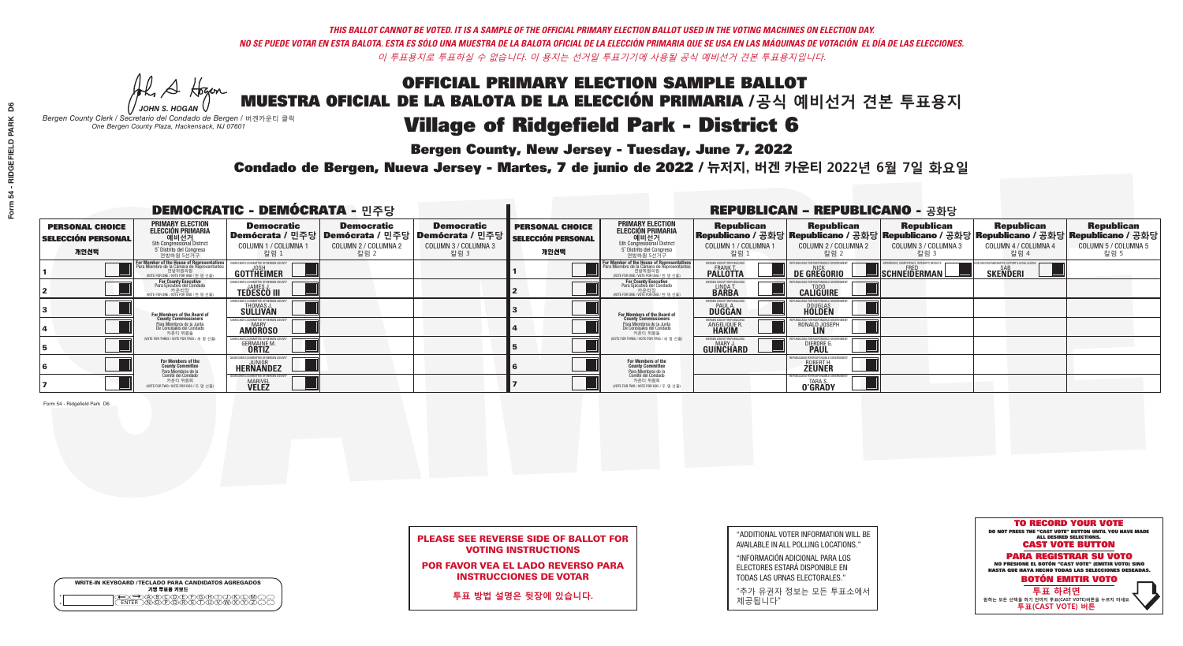**Bergen County, New Jersey - Tuesday, June 7, 2022** 

A Hogan *JOHN S. HOGAN*

|         | <b>WRITE-IN KEYBOARD /TECLADO PARA CANDIDATOS AGREGADOS</b><br>기명 투표용 키보드 |
|---------|---------------------------------------------------------------------------|
| ٥       | (C)DE)F)G)( <del>I</del> )(                                               |
| $\circ$ | <u>አወላጅ አፈ</u>                                                            |

*Bergen County Clerk / Secretario del Condado de Bergen /* 버겐카운티 클럭 *One Bergen County Plaza, Hackensack, NJ 07601*



POR FAVOR VEA EL LADO REVERSO PARA INSTRUCCIONES DE VOTAR

**투표 방법 설명은 뒷장에 있습니다.**

"ADDITIONAL VOTER INFORMATION WILL BE AVAILABLE IN ALL POLLING LOCATIONS."

"INFORMACIÓN ADICIONAL PARA LOS ELECTORES ESTARÁ DISPONIBLE EN TODAS LAS URNAS ELECTORALES."

"추가 유권자 정보는 모든 투표소에서 제공됩니다"

Condado de Bergen, Nueva Jersey - Martes, 7 de junio de 2022 / 뉴저지, 버겐 카운티 2022년 6월 7일 화요일 *One Bergen County Plaza, Hackensack, NJ 07601*

| <b>DEMOCRATIC - DEMÓCRATA - 민주당</b>                         |                                                                                                                                                      |                                                     |                                                   |                                                                                                            | <b>REPUBLICAN - REPUBLICANO - 공화당</b>                       |                                                                                                                                                  |                                                          |                                                                                                                                                  |                                                          |                                                              |                                                   |  |
|-------------------------------------------------------------|------------------------------------------------------------------------------------------------------------------------------------------------------|-----------------------------------------------------|---------------------------------------------------|------------------------------------------------------------------------------------------------------------|-------------------------------------------------------------|--------------------------------------------------------------------------------------------------------------------------------------------------|----------------------------------------------------------|--------------------------------------------------------------------------------------------------------------------------------------------------|----------------------------------------------------------|--------------------------------------------------------------|---------------------------------------------------|--|
| <b>PERSONAL CHOICE</b><br><b>SELECCIÓN PERSONAL</b><br>개인선택 | <b>PRIMARY ELECTION</b><br><b>ELECCIÓN PRIMARIA</b><br>예비선거<br>5th Congressional District<br>5° Distrito del Congreso<br>연방하원 5선거구                   | <b>Democratic</b><br>COLUMN 1 / COLUMNA<br>칼럼 1     | <b>Democratic</b><br>COLUMN 2 / COLUMNA 2<br>칼럼 2 | <b>Democratic</b><br>Demócrata / 민주당   Demócrata / 민주당   Demócrata / 민주당  <br>COLUMN 3 / COLUMNA 3<br>칼럼 3 | <b>PERSONAL CHOICE</b><br><b>SELECCIÓN PERSONAL</b><br>개인선택 | <b>PRIMARY ELECTION</b><br>ELECCIÓN PRIMARIA<br>예비선거<br>5th Congressional District<br>5 Distrito del Congreso<br>연방하원 5선거구                       | <b>Republican</b><br>COLUMN 1 / COLUMNA 1<br>"칼럼 1       | <b>Republican</b><br> Republicano / 공화당 Republicano / 공화당 Republicano / 공화당 Republicano / 공화당 Republicano / 공화당<br>COLUMN 2 / COLUMNA 2<br>-칼럼 2 | <b>Republican</b><br>COLUMN 3 / COLUMNA 3<br>칼럼 3        | <b>Republican</b><br>COLUMN 4 / COLUMNA 4<br>칼럼 4            | <b>Republican</b><br>COLUMN 5 / COLUMNA 5<br>칼럼 5 |  |
|                                                             | <b>For Member of the House of Representatives</b><br>Para Miembro de la Cámara de Representantes<br>연방하원의원<br>(VOTE FOR ONE / VOTE POR UNO / 한 명 선출) | <b>COMMITTEE OF BERGEN COUNT</b><br>GOTTHEIMER      |                                                   |                                                                                                            |                                                             | F <mark>or Member of the House of Representatives</mark><br>Para Miembro de la Cámara de Representantes<br>NOTE FOR ONE / VOTE POR UNO / 한 명 선출) | BERGEN COUNTY REPUBLICANS<br><b>FRANK T.</b><br>PALLOTTA | <b>DE GREGORIO</b>                                                                                                                               | PERIENCE, COMPETENCE, INTEGRITY, RESULTS<br>SCHNEIDERMAN | ND VACCINE MANDATES, DEPORT ILLEGAL ALIEN<br><b>SKENDERI</b> |                                                   |  |
|                                                             | For County Executive<br>Para Ejecutivo del Condado<br>/OTE FOR ONE / VOTE POR UNO / 한 명 선출)                                                          | <b>JAMES J</b><br><b>TEDESCO III</b>                |                                                   |                                                                                                            |                                                             | For County Executive<br>Para Ejecutivo del Condado<br>. 카운티장<br>(VOTE FOR ONE / VOTE POR UNO / 한 명 선출)                                           | BERGEN COUNTY REPUBLICAN<br>LINDA T.                     | <b>CALIGUIRE</b>                                                                                                                                 |                                                          |                                                              |                                                   |  |
|                                                             | For Members of the Board of<br>County Commissioners                                                                                                  | IOCRATIC COMMITTEE OF BERGEN CO<br>THOMAS J.        |                                                   |                                                                                                            |                                                             | <b>For Members of the Board of County Commissioners</b>                                                                                          | BERGEN COUNTY REPUBLICAN<br><b>DUGGAN</b>                | <b>DOUGLAS</b><br><b>HOLDEN</b>                                                                                                                  |                                                          |                                                              |                                                   |  |
|                                                             | Para Miembros de la Junta<br>De Concejales del Condado<br>카운티 위원들                                                                                    | OCRATIC COMMITTEE OF BERGEN COUN'<br><b>AMOROSO</b> |                                                   |                                                                                                            |                                                             | Para Miembros de la Junta<br>De Concejales del Condado<br>카운티 위원들                                                                                | RGEN COUNTY REPUBLICAN<br><b>ANGELIQUE R</b>             | RONALD JOSEPH                                                                                                                                    |                                                          |                                                              |                                                   |  |
|                                                             | NOTE FOR THREE / VOTE POR TRES / 세 명 선출)                                                                                                             | <b>GERMAINE M</b><br><b>ORTIZ</b>                   |                                                   |                                                                                                            |                                                             | (VOTE FOR THREE / VOTE POR TRES / 세 명 선출)                                                                                                        | ERGEN COUNTY REPUBLICAN<br>MARY J<br><b>GUINCHARD</b>    | <b>DIERDRE</b>                                                                                                                                   |                                                          |                                                              |                                                   |  |
|                                                             | For Members of the<br>County Committee<br>Para Miembros de la                                                                                        | EMOCRATIC COMMITTEE OF BERGEN (<br><b>HERNANDEZ</b> |                                                   |                                                                                                            |                                                             | <b>For Members of the<br/>County Committee</b>                                                                                                   |                                                          | ROBERT H.<br><b>ZEUNER</b>                                                                                                                       |                                                          |                                                              |                                                   |  |
|                                                             | Comité del Condado<br>카운티 위원회<br>(VOTE FOR TWO / VOTE POR DOS / 두 명 선출)                                                                              | MOCRATIC COMMITTEE OF BERGEN<br><b>MARIVEL</b>      |                                                   |                                                                                                            |                                                             | Para Miembros de la<br>Comité del Condado<br>카운티 위원회<br>NOTE FOR TWO / VOTE POR DOS / 두 명 선출)                                                    |                                                          | EPUBLICANS FOR RESPONSIBLE G<br>TARA S.<br><b>O'GRADY</b>                                                                                        |                                                          |                                                              |                                                   |  |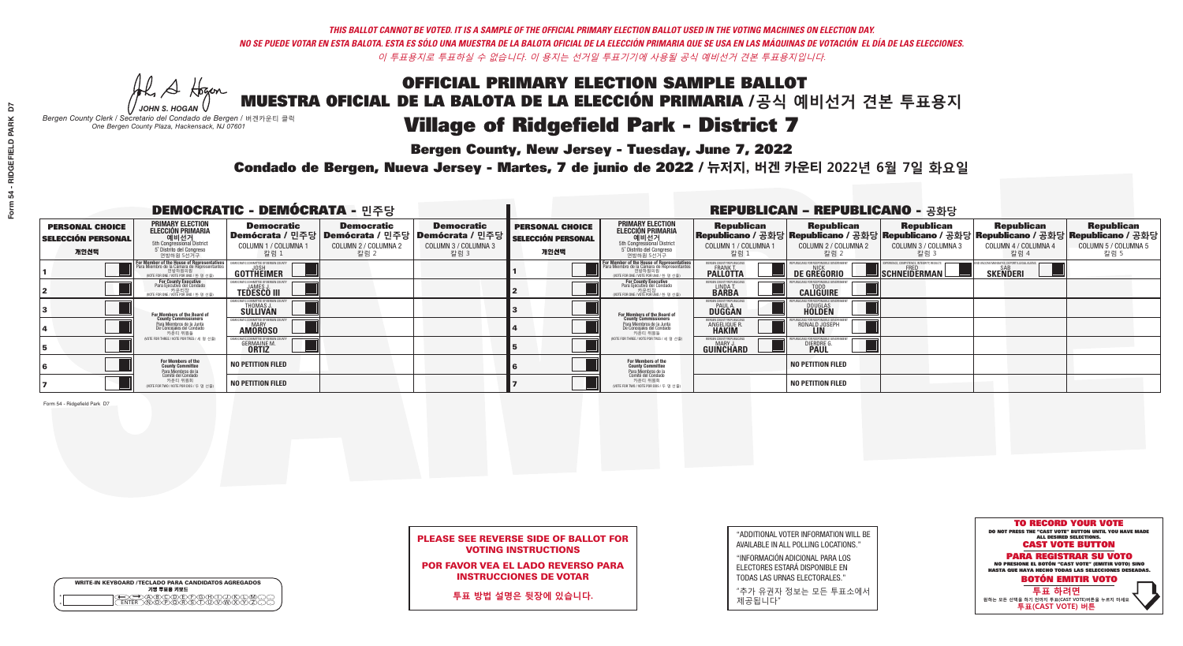**Bergen County, New Jersey - Tuesday, June 7, 2022** 

Al Stogan *JOHN S. HOGAN*

|              | <b>WRITE-IN KEYBOARD /TECLADO PARA CANDIDATOS AGREGADOS</b><br>기명 투표용 키보드 |  |
|--------------|---------------------------------------------------------------------------|--|
| ٥<br>$\circ$ |                                                                           |  |

*Bergen County Clerk / Secretario del Condado de Bergen /* 버겐카운티 클럭 *One Bergen County Plaza, Hackensack, NJ 07601*

Condado de Bergen, Nueva Jersey - Martes, 7 de junio de 2022 / 뉴저지, 버겐 카운티 2022년 6월 7일 화요일 *One Bergen County Plaza, Hackensack, NJ 07601*



### PLEASE SEE REVERSE SIDE OF BALLOT FOR VOTING INSTRUCTIONS

POR FAVOR VEA EL LADO REVERSO PARA INSTRUCCIONES DE VOTAR

**투표 방법 설명은 뒷장에 있습니다.**

| "ADDITIONAL VOTER INFORMATION WILL BE |
|---------------------------------------|
| AVAILABLE IN ALL POLLING LOCATIONS."  |
|                                       |

"INFORMACIÓN ADICIONAL PARA LOS ELECTORES ESTARÁ DISPONIBLE EN TODAS LAS URNAS ELECTORALES."

"추가 유권자 정보는 모든 투표소에서 제공됩니다"

| <b>DEMOCRATIC - DEMÓCRATA - 민주당</b>                         |                                                                                                                                               |                                                                       |                                                   | <b>REPUBLICAN - REPUBLICANO - 공화당</b>                                                                        |                                                             |                                                                                                                                         |                                                        |                                                                                                                                                 |                                                   |                                                   |                                                   |
|-------------------------------------------------------------|-----------------------------------------------------------------------------------------------------------------------------------------------|-----------------------------------------------------------------------|---------------------------------------------------|--------------------------------------------------------------------------------------------------------------|-------------------------------------------------------------|-----------------------------------------------------------------------------------------------------------------------------------------|--------------------------------------------------------|-------------------------------------------------------------------------------------------------------------------------------------------------|---------------------------------------------------|---------------------------------------------------|---------------------------------------------------|
| <b>PERSONAL CHOICE</b><br><b>SELECCIÓN PERSONAL</b><br>개인선택 | PRIMARY ELECTION<br>ELECCIÓN PRIMARIA<br>에비선거<br>5th Congressional District<br>5 <sup>t</sup> Distrito del Congreso<br>연방하원 5선거구              | <b>Democratic</b><br>COLUMN 1 / COLUMNA 1<br>칼럼 1                     | <b>Democratic</b><br>COLUMN 2 / COLUMNA 2<br>칼럼 2 | <b>Democratic</b><br>  Demócrata / 민주당   Demócrata / 민주당   Demócrata / 민주당  <br>COLUMN 3 / COLUMNA 3<br>칼럼 3 | <b>PERSONAL CHOICE</b><br><b>SELECCIÓN PERSONAL</b><br>개인선택 | <b>PRIMARY ELECTION</b><br>ELECCIÓN PRIMARIA<br>예비선거<br>5th Congressional District<br>5 Distrito del Congreso<br>연방하원 5선거구              | <b>Republican</b><br>COLUMN 1 / COLUMNA 1<br>칼럼        | <b>Republican</b><br>Republicano / 공화당 Republicano / 공화당 Republicano / 공화당 Republicano / 공화당 Republicano / 공화당<br>COLUMN 2 / COLUMNA 2<br>-칼럼 2 | <b>Republican</b><br>COLUMN 3 / COLUMNA 3<br>칼럼 3 | <b>Republican</b><br>COLUMN 4 / COLUMNA 4<br>칼럼 4 | <b>Republican</b><br>COLUMN 5 / COLUMNA 5<br>칼럼 5 |
|                                                             | For Member of the House of Representatives<br>Para Miembro de la Cámara de Representantes<br>연방하원의원<br>(VOTE FOR ONE / VOTE POR UNO / 한 명 선출) | <b>GOTTHEIMER</b>                                                     |                                                   |                                                                                                              |                                                             | <b>For Member of the House of Representative</b><br>Para Miembro de la Cámara de Representante<br>(VOTE FOR ONE / VOTE POR UNO / 한 명 선출 | BERGEN COUNTY REPUBLICAN<br><b>PALLOTTA</b>            | DE GREGORIO                                                                                                                                     | SCHNEIDERMAN                                      | <b>SKENDERI</b>                                   |                                                   |
|                                                             | For County Executive<br>Para Ejecutivo del Condado<br>/OTE FOR ONE / VOTE POR UNO / 한 명 선출)                                                   | <b>TEDESCO III</b>                                                    |                                                   |                                                                                                              |                                                             | For County Executive<br>Para Ejecutivo del Condado<br>7 카운티장<br>(VOTE FOR ONE / VOTE POR UNO / 한 명 선출)                                  | BERGEN COUNTY REPUBLICA<br>LINDA T.                    | <b>CALIGUIRE</b>                                                                                                                                |                                                   |                                                   |                                                   |
|                                                             | For Members of the Board of<br>County Commissioners                                                                                           | EMOCRATIC COMMITTEE OF BERGENTIERT THOMAS J.<br>THOMAS J.<br>SULLIVAN |                                                   |                                                                                                              |                                                             | For Members of the Board o<br>County Commissioners                                                                                      | <b>BERGEN COUNTY REPUBLICAN<br/>PAUL A.<br/>DUGGAN</b> | <b>DOUGLAS</b>                                                                                                                                  |                                                   |                                                   |                                                   |
|                                                             | Para Miembros de la Junta<br>De Concejales del Condado<br>카우티 위원들                                                                             | RATIC COMMITTEE OF BERGEN CO<br><b>AMOROSO</b>                        |                                                   |                                                                                                              |                                                             | Para Miembros de la Junta<br>De Concejales del Condado<br>카운티 위원들                                                                       | <b>'ERGEN COUNTY REPUBLICAN</b><br>ANGELIQUE R         | RONALD JOSEPH                                                                                                                                   |                                                   |                                                   |                                                   |
|                                                             | NOTE FOR THREE / VOTE POR TRES / 세 명 선출)                                                                                                      | <b>GERMAINE M.</b><br><b>ORTIZ</b>                                    |                                                   |                                                                                                              |                                                             | (VOTE FOR THREE / VOTE POR TRES / 세 명 선출)                                                                                               | ERGEN COUNTY REPUBLICAN<br>MARY J.<br><b>GUINCHARD</b> | DIERDRE G                                                                                                                                       |                                                   |                                                   |                                                   |
|                                                             | For Members of the<br>County Committee<br>Para Miembros de la<br>Comité del Condado                                                           | <b>NO PETITION FILED</b>                                              |                                                   |                                                                                                              |                                                             | For Members of the<br>County Committee                                                                                                  |                                                        | <b>NO PETITION FILED</b>                                                                                                                        |                                                   |                                                   |                                                   |
|                                                             | 카운티 위원회<br>NOTE FOR TWO / VOTE POR DOS / 두 명 선출)                                                                                              | <b>NO PETITION FILED</b>                                              |                                                   |                                                                                                              |                                                             | Para Miembros de la<br>Comité del Condado<br>카운티 위원회<br>NOTE FOR TWO / VOTE POR DOS / 두 명 선출)                                           |                                                        | <b>NO PETITION FILED</b>                                                                                                                        |                                                   |                                                   |                                                   |